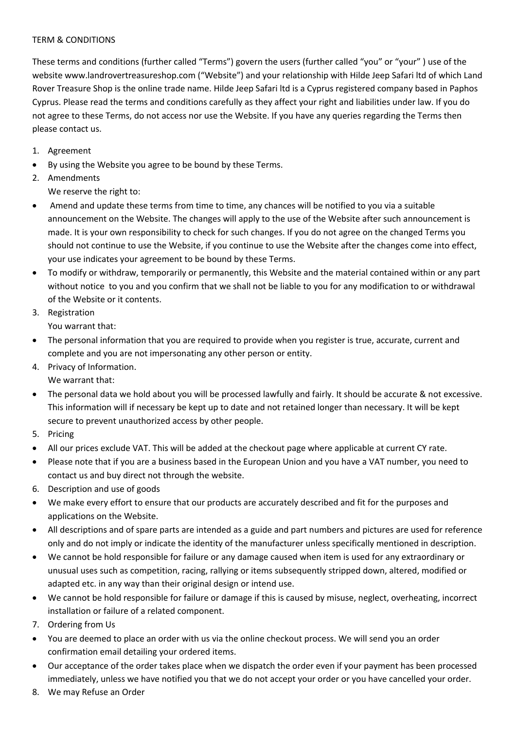## TERM & CONDITIONS

These terms and conditions (further called "Terms") govern the users (further called "you" or "your" ) use of the website www.landrovertreasureshop.com ("Website") and your relationship with Hilde Jeep Safari ltd of which Land Rover Treasure Shop is the online trade name. Hilde Jeep Safari ltd is a Cyprus registered company based in Paphos Cyprus. Please read the terms and conditions carefully as they affect your right and liabilities under law. If you do not agree to these Terms, do not access nor use the Website. If you have any queries regarding the Terms then please contact us.

- 1. Agreement
- By using the Website you agree to be bound by these Terms.
- 2. Amendments We reserve the right to:
- Amend and update these terms from time to time, any chances will be notified to you via a suitable announcement on the Website. The changes will apply to the use of the Website after such announcement is made. It is your own responsibility to check for such changes. If you do not agree on the changed Terms you should not continue to use the Website, if you continue to use the Website after the changes come into effect, your use indicates your agreement to be bound by these Terms.
- To modify or withdraw, temporarily or permanently, this Website and the material contained within or any part without notice to you and you confirm that we shall not be liable to you for any modification to or withdrawal of the Website or it contents.
- 3. Registration You warrant that:
- The personal information that you are required to provide when you register is true, accurate, current and complete and you are not impersonating any other person or entity.
- 4. Privacy of Information. We warrant that:
- The personal data we hold about you will be processed lawfully and fairly. It should be accurate & not excessive. This information will if necessary be kept up to date and not retained longer than necessary. It will be kept secure to prevent unauthorized access by other people.
- 5. Pricing
- All our prices exclude VAT. This will be added at the checkout page where applicable at current CY rate.
- Please note that if you are a business based in the European Union and you have a VAT number, you need to contact us and buy direct not through the website.
- 6. Description and use of goods
- We make every effort to ensure that our products are accurately described and fit for the purposes and applications on the Website.
- All descriptions and of spare parts are intended as a guide and part numbers and pictures are used for reference only and do not imply or indicate the identity of the manufacturer unless specifically mentioned in description.
- We cannot be hold responsible for failure or any damage caused when item is used for any extraordinary or unusual uses such as competition, racing, rallying or items subsequently stripped down, altered, modified or adapted etc. in any way than their original design or intend use.
- We cannot be hold responsible for failure or damage if this is caused by misuse, neglect, overheating, incorrect installation or failure of a related component.
- 7. Ordering from Us
- You are deemed to place an order with us via the online checkout process. We will send you an order confirmation email detailing your ordered items.
- Our acceptance of the order takes place when we dispatch the order even if your payment has been processed immediately, unless we have notified you that we do not accept your order or you have cancelled your order.
- 8. We may Refuse an Order